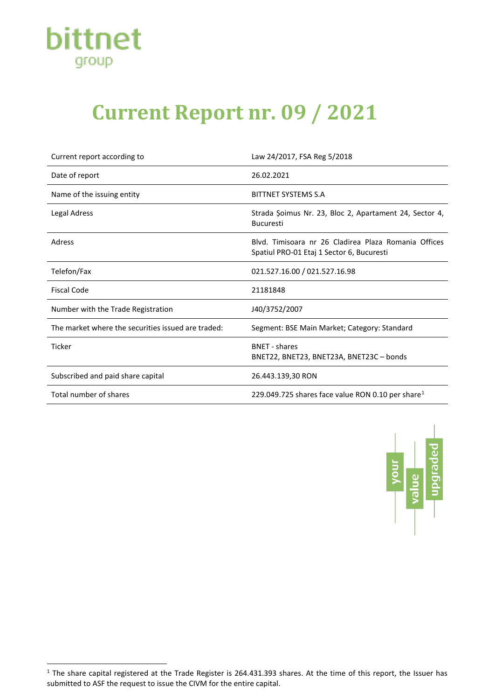

## **Current Report nr. 09 / 2021**

| Current report according to                        | Law 24/2017, FSA Reg 5/2018                                                                       |
|----------------------------------------------------|---------------------------------------------------------------------------------------------------|
| Date of report                                     | 26.02.2021                                                                                        |
| Name of the issuing entity                         | BITTNET SYSTEMS S.A                                                                               |
| <b>Legal Adress</b>                                | Strada Șoimus Nr. 23, Bloc 2, Apartament 24, Sector 4,<br><b>Bucuresti</b>                        |
| Adress                                             | Blyd. Timisoara nr 26 Cladirea Plaza Romania Offices<br>Spatiul PRO-01 Etaj 1 Sector 6, Bucuresti |
| Telefon/Fax                                        | 021.527.16.00 / 021.527.16.98                                                                     |
| <b>Fiscal Code</b>                                 | 21181848                                                                                          |
| Number with the Trade Registration                 | J40/3752/2007                                                                                     |
| The market where the securities issued are traded: | Segment: BSE Main Market; Category: Standard                                                      |
| <b>Ticker</b>                                      | <b>BNFT</b> - shares<br>BNET22, BNET23, BNET23A, BNET23C - bonds                                  |
| Subscribed and paid share capital                  | 26.443.139,30 RON                                                                                 |
| Total number of shares                             | 229.049.725 shares face value RON 0.10 per share <sup>1</sup>                                     |



<span id="page-0-0"></span> $1$  The share capital registered at the Trade Register is 264.431.393 shares. At the time of this report, the Issuer has submitted to ASF the request to issue the CIVM for the entire capital.